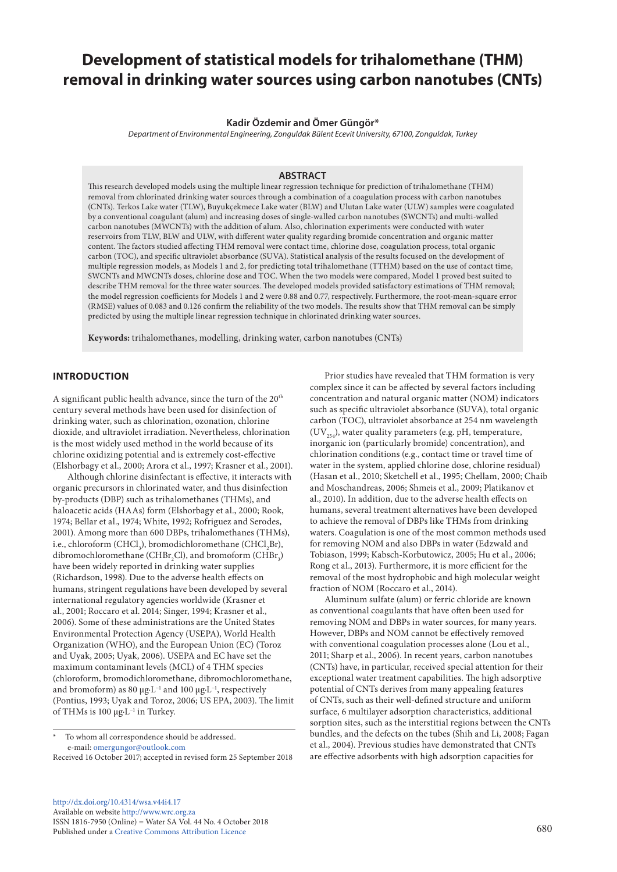# **Development of statistical models for trihalomethane (THM) removal in drinking water sources using carbon nanotubes (CNTs)**

## **Kadir Özdemir and Ömer Güngör\***

*Department of Environmental Engineering, Zonguldak Bülent Ecevit University, 67100, Zonguldak, Turkey*

# **ABSTRACT**

This research developed models using the multiple linear regression technique for prediction of trihalomethane (THM) removal from chlorinated drinking water sources through a combination of a coagulation process with carbon nanotubes (CNTs). Terkos Lake water (TLW), Buyukçekmece Lake water (BLW) and Ulutan Lake water (ULW) samples were coagulated by a conventional coagulant (alum) and increasing doses of single-walled carbon nanotubes (SWCNTs) and multi-walled carbon nanotubes (MWCNTs) with the addition of alum. Also, chlorination experiments were conducted with water reservoirs from TLW, BLW and ULW, with different water quality regarding bromide concentration and organic matter content. The factors studied affecting THM removal were contact time, chlorine dose, coagulation process, total organic carbon (TOC), and specific ultraviolet absorbance (SUVA). Statistical analysis of the results focused on the development of multiple regression models, as Models 1 and 2, for predicting total trihalomethane (TTHM) based on the use of contact time, SWCNTs and MWCNTs doses, chlorine dose and TOC. When the two models were compared, Model 1 proved best suited to describe THM removal for the three water sources. The developed models provided satisfactory estimations of THM removal; the model regression coefficients for Models 1 and 2 were 0.88 and 0.77, respectively. Furthermore, the root-mean-square error (RMSE) values of 0.083 and 0.126 confirm the reliability of the two models. The results show that THM removal can be simply predicted by using the multiple linear regression technique in chlorinated drinking water sources.

**Keywords:** trihalomethanes, modelling, drinking water, carbon nanotubes (CNTs)

## **INTRODUCTION**

A significant public health advance, since the turn of the 20<sup>th</sup> century several methods have been used for disinfection of drinking water, such as chlorination, ozonation, chlorine dioxide, and ultraviolet irradiation. Nevertheless, chlorination is the most widely used method in the world because of its chlorine oxidizing potential and is extremely cost-effective (Elshorbagy et al., 2000; Arora et al., 1997; Krasner et al., 2001).

Although chlorine disinfectant is effective, it interacts with organic precursors in chlorinated water, and thus disinfection by-products (DBP) such as trihalomethanes (THMs), and haloacetic acids (HAAs) form (Elshorbagy et al., 2000; Rook, 1974; Bellar et al., 1974; White, 1992; Rofriguez and Serodes, 2001). Among more than 600 DBPs, trihalomethanes (THMs), i.e., chloroform (CHCl<sub>3</sub>), bromodichloromethane (CHCl<sub>2</sub>Br), dibromochloromethane (CHBr<sub>2</sub>Cl), and bromoform (CHBr<sub>3</sub>) have been widely reported in drinking water supplies (Richardson, 1998). Due to the adverse health effects on humans, stringent regulations have been developed by several international regulatory agencies worldwide (Krasner et al., 2001; Roccaro et al. 2014; Singer, 1994; Krasner et al., 2006). Some of these administrations are the United States Environmental Protection Agency (USEPA), World Health Organization (WHO), and the European Union (EC) (Toroz and Uyak, 2005; Uyak, 2006). USEPA and EC have set the maximum contaminant levels (MCL) of 4 THM species (chloroform, bromodichloromethane, dibromochloromethane, and bromoform) as 80 μg⋅L<sup>-1</sup> and 100 μg⋅L<sup>-1</sup>, respectively (Pontius, 1993; Uyak and Toroz, 2006; US EPA, 2003). The limit of THMs is 100 μg·L−1 in Turkey.

[http://dx.doi.org/10.4314/wsa.v44i4.1](http://dx.doi.org/10.4314/wsa.v44i4.17)7 Available on website <http://www.wrc.org.za> ISSN 1816-7950 (Online) = Water SA Vol. 44 No. 4 October 2018 Published under a [Creative Commons Attribution Licence](https://creativecommons.org/licenses/by/4.0/) 680

Prior studies have revealed that THM formation is very complex since it can be affected by several factors including concentration and natural organic matter (NOM) indicators such as specific ultraviolet absorbance (SUVA), total organic carbon (TOC), ultraviolet absorbance at 254 nm wavelength  $(UV_{\text{tot}})$ , water quality parameters (e.g. pH, temperature, inorganic ion (particularly bromide) concentration), and chlorination conditions (e.g., contact time or travel time of water in the system, applied chlorine dose, chlorine residual) (Hasan et al., 2010; Sketchell et al., 1995; Chellam, 2000; Chaib and Moschandreas, 2006; Shmeis et al., 2009; Platikanov et al., 2010). In addition, due to the adverse health effects on humans, several treatment alternatives have been developed to achieve the removal of DBPs like THMs from drinking waters. Coagulation is one of the most common methods used for removing NOM and also DBPs in water (Edzwald and Tobiason, 1999; Kabsch-Korbutowicz, 2005; Hu et al., 2006; Rong et al., 2013). Furthermore, it is more efficient for the removal of the most hydrophobic and high molecular weight fraction of NOM (Roccaro et al., 2014).

Aluminum sulfate (alum) or ferric chloride are known as conventional coagulants that have often been used for removing NOM and DBPs in water sources, for many years. However, DBPs and NOM cannot be effectively removed with conventional coagulation processes alone (Lou et al., 2011; Sharp et al., 2006). In recent years, carbon nanotubes (CNTs) have, in particular, received special attention for their exceptional water treatment capabilities. The high adsorptive potential of CNTs derives from many appealing features of CNTs, such as their well-defined structure and uniform surface, 6 multilayer adsorption characteristics, additional sorption sites, such as the interstitial regions between the CNTs bundles, and the defects on the tubes (Shih and Li, 2008; Fagan et al., 2004). Previous studies have demonstrated that CNTs are effective adsorbents with high adsorption capacities for

To whom all correspondence should be addressed. e-mail: [omergungor@outlook.com](mailto:omergungor@outlook.com)

Received 16 October 2017; accepted in revised form 25 September 2018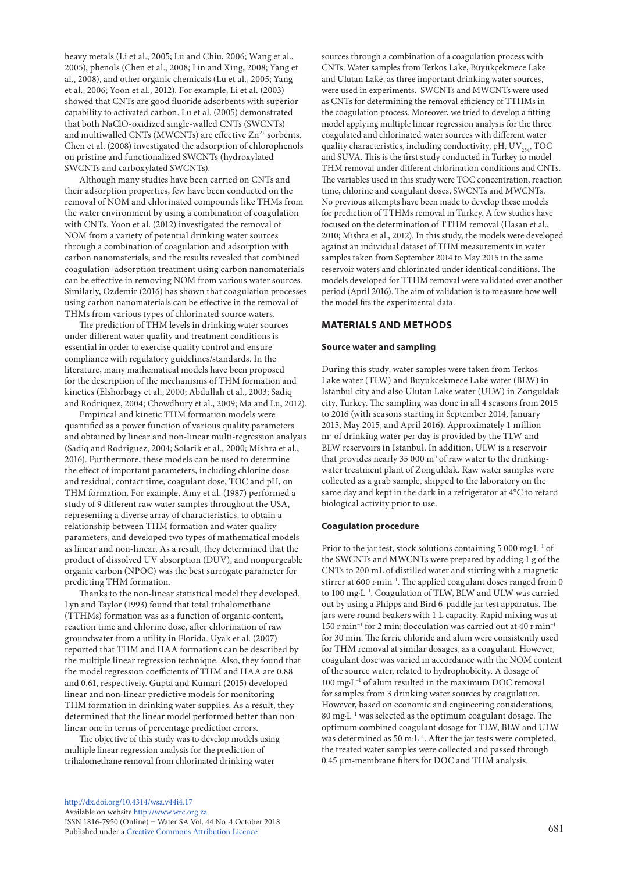heavy metals (Li et al., 2005; Lu and Chiu, 2006; Wang et al., 2005), phenols (Chen et al., 2008; Lin and Xing, 2008; Yang et al., 2008), and other organic chemicals (Lu et al., 2005; Yang et al., 2006; Yoon et al., 2012). For example, Li et al. (2003) showed that CNTs are good fluoride adsorbents with superior capability to activated carbon. Lu et al. (2005) demonstrated that both NaClO-oxidized single-walled CNTs (SWCNTs) and multiwalled CNTs (MWCNTs) are effective Zn<sup>2+</sup> sorbents. Chen et al. (2008) investigated the adsorption of chlorophenols on pristine and functionalized SWCNTs (hydroxylated SWCNTs and carboxylated SWCNTs).

Although many studies have been carried on CNTs and their adsorption properties, few have been conducted on the removal of NOM and chlorinated compounds like THMs from the water environment by using a combination of coagulation with CNTs. Yoon et al. (2012) investigated the removal of NOM from a variety of potential drinking water sources through a combination of coagulation and adsorption with carbon nanomaterials, and the results revealed that combined coagulation–adsorption treatment using carbon nanomaterials can be effective in removing NOM from various water sources. Similarly, Ozdemir (2016) has shown that coagulation processes using carbon nanomaterials can be effective in the removal of THMs from various types of chlorinated source waters.

The prediction of THM levels in drinking water sources under different water quality and treatment conditions is essential in order to exercise quality control and ensure compliance with regulatory guidelines/standards. In the literature, many mathematical models have been proposed for the description of the mechanisms of THM formation and kinetics (Elshorbagy et al., 2000; Abdullah et al., 2003; Sadiq and Rodriquez, 2004; Chowdhury et al., 2009; Ma and Lu, 2012).

Empirical and kinetic THM formation models were quantified as a power function of various quality parameters and obtained by linear and non-linear multi-regression analysis (Sadiq and Rodriguez, 2004; Solarik et al., 2000; Mishra et al., 2016). Furthermore, these models can be used to determine the effect of important parameters, including chlorine dose and residual, contact time, coagulant dose, TOC and pH, on THM formation. For example, Amy et al. (1987) performed a study of 9 different raw water samples throughout the USA, representing a diverse array of characteristics, to obtain a relationship between THM formation and water quality parameters, and developed two types of mathematical models as linear and non-linear. As a result, they determined that the product of dissolved UV absorption (DUV), and nonpurgeable organic carbon (NPOC) was the best surrogate parameter for predicting THM formation.

Thanks to the non-linear statistical model they developed. Lyn and Taylor (1993) found that total trihalomethane (TTHMs) formation was as a function of organic content, reaction time and chlorine dose, after chlorination of raw groundwater from a utility in Florida. Uyak et al. (2007) reported that THM and HAA formations can be described by the multiple linear regression technique. Also, they found that the model regression coefficients of THM and HAA are 0.88 and 0.61, respectively. Gupta and Kumari (2015) developed linear and non-linear predictive models for monitoring THM formation in drinking water supplies. As a result, they determined that the linear model performed better than nonlinear one in terms of percentage prediction errors.

The objective of this study was to develop models using multiple linear regression analysis for the prediction of trihalomethane removal from chlorinated drinking water

[http://dx.doi.org/10.4314/wsa.v44i4.](http://dx.doi.org/10.4314/wsa.v44i4.17)17 Available on website<http://www.wrc.org.za> ISSN 1816-7950 (Online) = Water SA Vol. 44 No. 4 October 2018 Published under a [Creative Commons Attribution Licence](https://creativecommons.org/licenses/by/4.0/) 681

sources through a combination of a coagulation process with CNTs. Water samples from Terkos Lake, Büyükçekmece Lake and Ulutan Lake, as three important drinking water sources, were used in experiments. SWCNTs and MWCNTs were used as CNTs for determining the removal efficiency of TTHMs in the coagulation process. Moreover, we tried to develop a fitting model applying multiple linear regression analysis for the three coagulated and chlorinated water sources with different water quality characteristics, including conductivity, pH,  $UV_{254}$ , TOC and SUVA. This is the first study conducted in Turkey to model THM removal under different chlorination conditions and CNTs. The variables used in this study were TOC concentration, reaction time, chlorine and coagulant doses, SWCNTs and MWCNTs. No previous attempts have been made to develop these models for prediction of TTHMs removal in Turkey. A few studies have focused on the determination of TTHM removal (Hasan et al., 2010; Mishra et al., 2012). In this study, the models were developed against an individual dataset of THM measurements in water samples taken from September 2014 to May 2015 in the same reservoir waters and chlorinated under identical conditions. The models developed for TTHM removal were validated over another period (April 2016). The aim of validation is to measure how well the model fits the experimental data.

## **MATERIALS AND METHODS**

## **Source water and sampling**

During this study, water samples were taken from Terkos Lake water (TLW) and Buyukcekmece Lake water (BLW) in Istanbul city and also Ulutan Lake water (ULW) in Zonguldak city, Turkey. The sampling was done in all 4 seasons from 2015 to 2016 (with seasons starting in September 2014, January 2015, May 2015, and April 2016). Approximately 1 million m3 of drinking water per day is provided by the TLW and BLW reservoirs in Istanbul. In addition, ULW is a reservoir that provides nearly 35 000  $\mathrm{m}^3$  of raw water to the drinkingwater treatment plant of Zonguldak. Raw water samples were collected as a grab sample, shipped to the laboratory on the same day and kept in the dark in a refrigerator at 4°C to retard biological activity prior to use.

#### **Coagulation procedure**

Prior to the jar test, stock solutions containing 5 000 mg·L−1 of the SWCNTs and MWCNTs were prepared by adding 1 g of the CNTs to 200 mL of distilled water and stirring with a magnetic stirrer at 600 r·min<sup>-1</sup>. The applied coagulant doses ranged from 0 to 100 mg·L−1. Coagulation of TLW, BLW and ULW was carried out by using a Phipps and Bird 6-paddle jar test apparatus. The jars were round beakers with 1 L capacity. Rapid mixing was at 150 r·min−1 for 2 min; flocculation was carried out at 40 r·min−1 for 30 min. The ferric chloride and alum were consistently used for THM removal at similar dosages, as a coagulant. However, coagulant dose was varied in accordance with the NOM content of the source water, related to hydrophobicity. A dosage of 100 mg·L−1 of alum resulted in the maximum DOC removal for samples from 3 drinking water sources by coagulation. However, based on economic and engineering considerations, 80 mg·L−1 was selected as the optimum coagulant dosage. The optimum combined coagulant dosage for TLW, BLW and ULW was determined as 50 m·L−1. After the jar tests were completed, the treated water samples were collected and passed through 0.45 μm-membrane filters for DOC and THM analysis.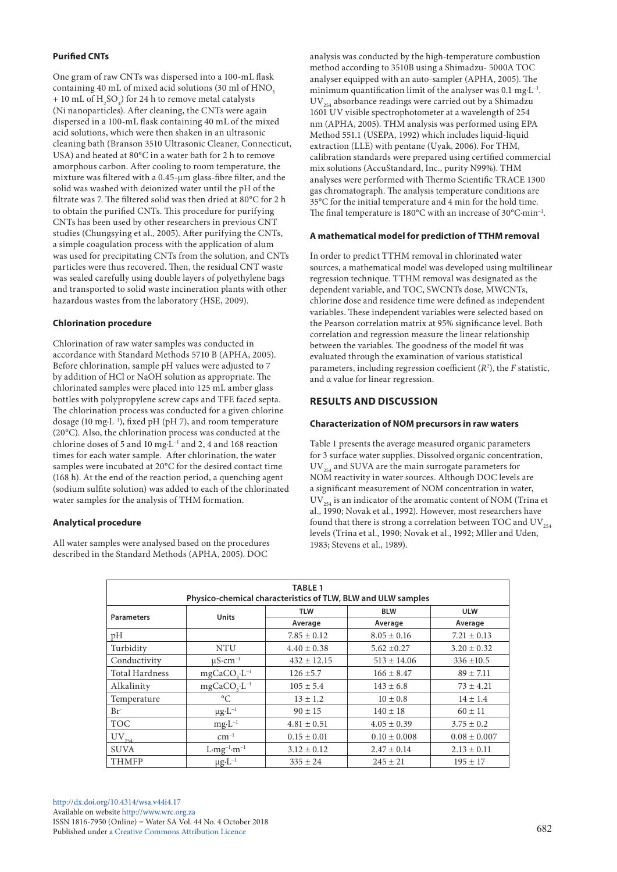## **Purified CNTs**

One gram of raw CNTs was dispersed into a 100-mL flask containing 40 mL of mixed acid solutions (30 ml of HNO<sub>3</sub>) + 10 mL of  $H_2SO_4$ ) for 24 h to remove metal catalysts (Ni nanoparticles). After cleaning, the CNTs were again dispersed in a 100-mL flask containing 40 mL of the mixed acid solutions, which were then shaken in an ultrasonic cleaning bath (Branson 3510 Ultrasonic Cleaner, Connecticut, USA) and heated at 80°C in a water bath for 2 h to remove amorphous carbon. After cooling to room temperature, the mixture was filtered with a 0.45-μm glass-fibre filter, and the solid was washed with deionized water until the pH of the filtrate was 7. The filtered solid was then dried at 80°C for 2 h to obtain the purified CNTs. This procedure for purifying CNTs has been used by other researchers in previous CNT studies (Chungsying et al., 2005). After purifying the CNTs, a simple coagulation process with the application of alum was used for precipitating CNTs from the solution, and CNTs particles were thus recovered. Then, the residual CNT waste was sealed carefully using double layers of polyethylene bags and transported to solid waste incineration plants with other hazardous wastes from the laboratory (HSE, 2009).

## **Chlorination procedure**

Chlorination of raw water samples was conducted in accordance with Standard Methods 5710 B (APHA, 2005). Before chlorination, sample pH values were adjusted to 7 by addition of HCl or NaOH solution as appropriate. The chlorinated samples were placed into 125 mL amber glass bottles with polypropylene screw caps and TFE faced septa. The chlorination process was conducted for a given chlorine dosage (10 mg·L−1), fixed pH (pH 7), and room temperature (20°C). Also, the chlorination process was conducted at the chlorine doses of 5 and 10 mg·L−1 and 2, 4 and 168 reaction times for each water sample. After chlorination, the water samples were incubated at 20°C for the desired contact time (168 h). At the end of the reaction period, a quenching agent (sodium sulfite solution) was added to each of the chlorinated water samples for the analysis of THM formation.

#### **Analytical procedure**

All water samples were analysed based on the procedures described in the Standard Methods (APHA, 2005). DOC

analysis was conducted by the high-temperature combustion method according to 3510B using a Shimadzu- 5000A TOC analyser equipped with an auto-sampler (APHA, 2005). The minimum quantification limit of the analyser was 0.1 mg·L−1.  $UV_{254}$  absorbance readings were carried out by a Shimadzu 1601 UV visible spectrophotometer at a wavelength of 254 nm (APHA, 2005). THM analysis was performed using EPA Method 551.1 (USEPA, 1992) which includes liquid-liquid extraction (LLE) with pentane (Uyak, 2006). For THM, calibration standards were prepared using certified commercial mix solutions (AccuStandard, Inc., purity N99%). THM analyses were performed with Thermo Scientific TRACE 1300 gas chromatograph. The analysis temperature conditions are 35°C for the initial temperature and 4 min for the hold time. The final temperature is 180°C with an increase of 30°C·min−1.

## **A mathematical model for prediction of TTHM removal**

In order to predict TTHM removal in chlorinated water sources, a mathematical model was developed using multilinear regression technique. TTHM removal was designated as the dependent variable, and TOC, SWCNTs dose, MWCNTs, chlorine dose and residence time were defined as independent variables. These independent variables were selected based on the Pearson correlation matrix at 95% significance level. Both correlation and regression measure the linear relationship between the variables. The goodness of the model fit was evaluated through the examination of various statistical parameters, including regression coefficient (*R*<sup>2</sup> ), the *F* statistic, and α value for linear regression.

## **RESULTS AND DISCUSSION**

#### **Characterization of NOM precursors in raw waters**

Table 1 presents the average measured organic parameters for 3 surface water supplies. Dissolved organic concentration,  $UV_{254}$  and SUVA are the main surrogate parameters for NOM reactivity in water sources. Although DOC levels are a significant measurement of NOM concentration in water,  $UV_{254}$  is an indicator of the aromatic content of NOM (Trina et al., 1990; Novak et al., 1992). However, most researchers have found that there is strong a correlation between TOC and  $UV_{354}$ levels (Trina et al., 1990; Novak et al., 1992; Mller and Uden, 1983; Stevens et al., 1989).

| <b>TABLE 1</b>                                               |                                      |                 |                  |                  |  |  |  |
|--------------------------------------------------------------|--------------------------------------|-----------------|------------------|------------------|--|--|--|
| Physico-chemical characteristics of TLW, BLW and ULW samples |                                      |                 |                  |                  |  |  |  |
|                                                              | <b>Units</b>                         | <b>TLW</b>      | <b>BLW</b>       | <b>ULW</b>       |  |  |  |
| <b>Parameters</b>                                            |                                      | Average         | Average          | Average          |  |  |  |
| pH                                                           |                                      | $7.85 \pm 0.12$ | $8.05 \pm 0.16$  | $7.21 \pm 0.13$  |  |  |  |
| Turbidity                                                    | <b>NTU</b>                           | $4.40 \pm 0.38$ | $5.62 \pm 0.27$  | $3.20 \pm 0.32$  |  |  |  |
| Conductivity                                                 | $\mu$ S·cm <sup>-1</sup>             | $432 \pm 12.15$ | $513 \pm 14.06$  | $336 \pm 10.5$   |  |  |  |
| <b>Total Hardness</b>                                        | $mgCaCO3·L-1$                        | $126 \pm 5.7$   | $166 \pm 8.47$   | $89 \pm 7.11$    |  |  |  |
| Alkalinity                                                   | mgCaCO <sub>3</sub> .L <sup>-1</sup> | $105 \pm 5.4$   | $143 \pm 6.8$    | $73 \pm 4.21$    |  |  |  |
| Temperature                                                  | $\rm ^{\circ}C$                      | $13 \pm 1.2$    | $10 \pm 0.8$     | $14 \pm 1.4$     |  |  |  |
| $Br^-$                                                       | $\mu$ g·L <sup>-1</sup>              | $90 \pm 15$     | $140 \pm 18$     | $60 \pm 11$      |  |  |  |
| <b>TOC</b>                                                   | $mg \cdot L^{-1}$                    | $4.81 \pm 0.51$ | $4.05 \pm 0.39$  | $3.75 \pm 0.2$   |  |  |  |
| $\text{UV}_{254}$                                            | $cm^{-1}$                            | $0.15 \pm 0.01$ | $0.10 \pm 0.008$ | $0.08 \pm 0.007$ |  |  |  |
| <b>SUVA</b>                                                  | $L \cdot mg^{-1} \cdot m^{-1}$       | $3.12 \pm 0.12$ | $2.47 \pm 0.14$  | $2.13 \pm 0.11$  |  |  |  |
| <b>THMFP</b>                                                 | $\mu$ g·L <sup>-1</sup>              | $335 \pm 24$    | $245 \pm 21$     | $195 \pm 17$     |  |  |  |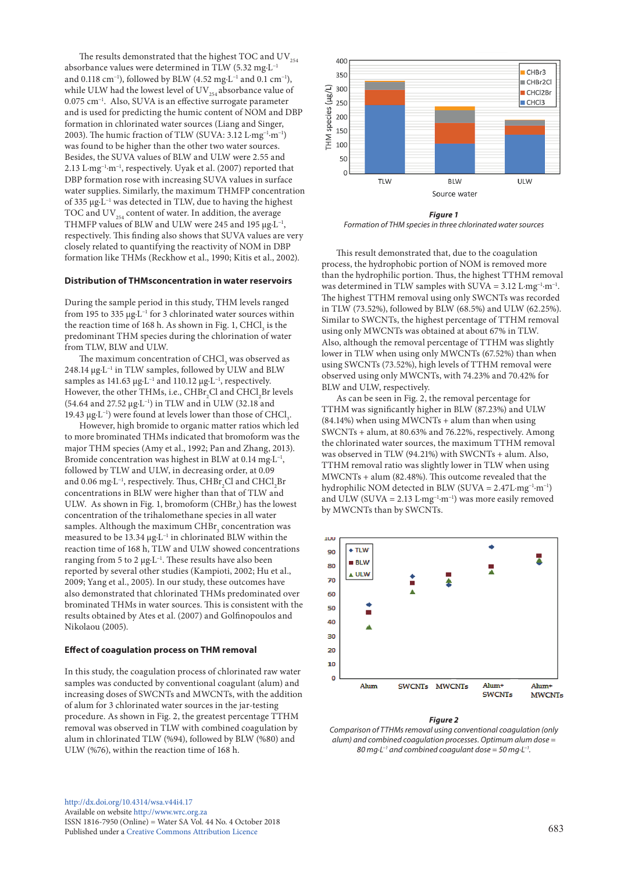The results demonstrated that the highest TOC and  $\mathrm{UV}_{254}$ absorbance values were determined in TLW (5.32 mg·L−1 and 0.118 cm−1), followed by BLW (4.52 mg·L−1 and 0.1 cm−1), while ULW had the lowest level of  $UV_{254}$  absorbance value of 0.075 cm−1. Also, SUVA is an effective surrogate parameter and is used for predicting the humic content of NOM and DBP formation in chlorinated water sources (Liang and Singer, 2003). The humic fraction of TLW (SUVA: 3.12 L·mg−1·m−1) was found to be higher than the other two water sources. Besides, the SUVA values of BLW and ULW were 2.55 and 2.13 L·mg−1·m−1, respectively. Uyak et al. (2007) reported that DBP formation rose with increasing SUVA values in surface water supplies. Similarly, the maximum THMFP concentration of 335 μg·L−1 was detected in TLW, due to having the highest TOC and  $UV_{254}$  content of water. In addition, the average THMFP values of BLW and ULW were 245 and 195  $\mu$ g·L<sup>-1</sup>, respectively. This finding also shows that SUVA values are very closely related to quantifying the reactivity of NOM in DBP formation like THMs (Reckhow et al., 1990; Kitis et al., 2002).

#### **Distribution of THMsconcentration in water reservoirs**

During the sample period in this study, THM levels ranged from 195 to 335 µg·L−1 for 3 chlorinated water sources within the reaction time of 168 h. As shown in Fig. 1,  $\mathrm{CHCl}_{_3}$  is the predominant THM species during the chlorination of water from TLW, BLW and ULW.

The maximum concentration of  $\mathrm{CHCl}_3$  was observed as 248.14 μg·L−1 in TLW samples, followed by ULW and BLW samples as 141.63 μg⋅L<sup>-1</sup> and 110.12 μg⋅L<sup>-1</sup>, respectively. However, the other THMs, i.e.,  $\mathrm{CHBr}_2\mathrm{Cl}$  and  $\mathrm{CHCl}_2\mathrm{Br}$  levels (54.64 and 27.52 μg·L−1) in TLW and in ULW (32.18 and 19.43 μg⋅L<sup>-1</sup>) were found at levels lower than those of CHCl<sub>3</sub>.

However, high bromide to organic matter ratios which led to more brominated THMs indicated that bromoform was the major THM species (Amy et al., 1992; Pan and Zhang, 2013). Bromide concentration was highest in BLW at 0.14 mg·L−1, followed by TLW and ULW, in decreasing order, at 0.09 and 0.06 mg⋅L<sup>-1</sup>, respectively. Thus, CHBr<sub>2</sub>Cl and CHCl<sub>2</sub>Br concentrations in BLW were higher than that of TLW and ULW. As shown in Fig. 1, bromoform  $(\mathrm{CHBr}_3)$  has the lowest concentration of the trihalomethane species in all water samples. Although the maximum  $\mathrm{CHBr}_\mathrm{3}$  concentration was measured to be 13.34 μg·L−1 in chlorinated BLW within the reaction time of 168 h, TLW and ULW showed concentrations ranging from 5 to 2 μg·L−1. These results have also been reported by several other studies (Kampioti, 2002; Hu et al., 2009; Yang et al., 2005). In our study, these outcomes have also demonstrated that chlorinated THMs predominated over brominated THMs in water sources. This is consistent with the results obtained by Ates et al. (2007) and Golfinopoulos and Nikolaou (2005).

#### **Effect of coagulation process on THM removal**

In this study, the coagulation process of chlorinated raw water samples was conducted by conventional coagulant (alum) and increasing doses of SWCNTs and MWCNTs, with the addition of alum for 3 chlorinated water sources in the jar-testing procedure. As shown in Fig. 2, the greatest percentage TTHM removal was observed in TLW with combined coagulation by alum in chlorinated TLW (%94), followed by BLW (%80) and ULW (%76), within the reaction time of 168 h.



*Figure 1 Formation of THM species in three chlorinated water sources*

This result demonstrated that, due to the coagulation process, the hydrophobic portion of NOM is removed more than the hydrophilic portion. Thus, the highest TTHM removal was determined in TLW samples with  $SUVA = 3.12$  L·mg<sup>-1</sup>·m<sup>-1</sup>. The highest TTHM removal using only SWCNTs was recorded in TLW (73.52%), followed by BLW (68.5%) and ULW (62.25%). Similar to SWCNTs, the highest percentage of TTHM removal using only MWCNTs was obtained at about 67% in TLW. Also, although the removal percentage of TTHM was slightly lower in TLW when using only MWCNTs (67.52%) than when using SWCNTs (73.52%), high levels of TTHM removal were observed using only MWCNTs, with 74.23% and 70.42% for BLW and ULW, respectively.

As can be seen in Fig. 2, the removal percentage for TTHM was significantly higher in BLW (87.23%) and ULW (84.14%) when using MWCNTs + alum than when using SWCNTs + alum, at 80.63% and 76.22%, respectively. Among the chlorinated water sources, the maximum TTHM removal was observed in TLW (94.21%) with SWCNTs + alum. Also, TTHM removal ratio was slightly lower in TLW when using MWCNTs + alum (82.48%). This outcome revealed that the hydrophilic NOM detected in BLW (SUVA = 2.47L·mg−1·m−1) and ULW (SUVA = 2.13 L·mg<sup>-1</sup>·m<sup>-1</sup>) was more easily removed by MWCNTs than by SWCNTs.



#### *Figure 2*

*Comparison of TTHMs removal using conventional coagulation (only alum) and combined coagulation processes. Optimum alum dose = 80 mg·L−1 and combined coagulant dose = 50 mg·L−1.*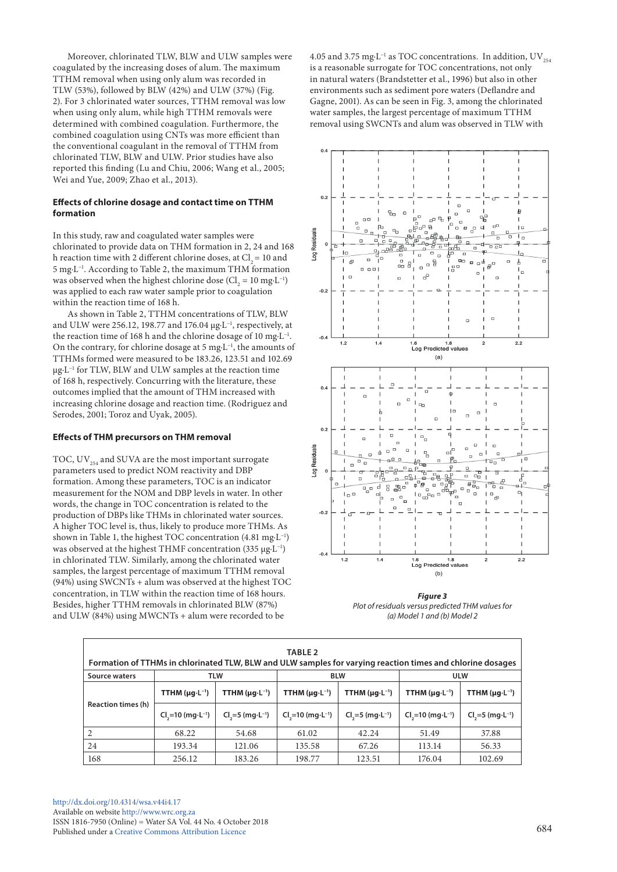Moreover, chlorinated TLW, BLW and ULW samples were coagulated by the increasing doses of alum. The maximum TTHM removal when using only alum was recorded in TLW (53%), followed by BLW (42%) and ULW (37%) (Fig. 2). For 3 chlorinated water sources, TTHM removal was low when using only alum, while high TTHM removals were determined with combined coagulation. Furthermore, the combined coagulation using CNTs was more efficient than the conventional coagulant in the removal of TTHM from chlorinated TLW, BLW and ULW. Prior studies have also reported this finding (Lu and Chiu, 2006; Wang et al., 2005; Wei and Yue, 2009; Zhao et al., 2013).

#### **Effects of chlorine dosage and contact time on TTHM formation**

In this study, raw and coagulated water samples were chlorinated to provide data on THM formation in 2, 24 and 168 h reaction time with 2 different chlorine doses, at  $Cl<sub>2</sub> = 10$  and 5 mg·L−1. According to Table 2, the maximum THM formation was observed when the highest chlorine dose ( $Cl_2 = 10$  mg·L<sup>-1</sup>) was applied to each raw water sample prior to coagulation within the reaction time of 168 h.

As shown in Table 2, TTHM concentrations of TLW, BLW and ULW were 256.12, 198.77 and 176.04 µg·L−1, respectively, at the reaction time of 168 h and the chlorine dosage of 10 mg·L−1. On the contrary, for chlorine dosage at 5 mg·L−1, the amounts of TTHMs formed were measured to be 183.26, 123.51 and 102.69 µg·L−1 for TLW, BLW and ULW samples at the reaction time of 168 h, respectively. Concurring with the literature, these outcomes implied that the amount of THM increased with increasing chlorine dosage and reaction time. (Rodriguez and Serodes, 2001; Toroz and Uyak, 2005).

#### **Effects of THM precursors on THM removal**

TOC,  $UV_{254}$  and SUVA are the most important surrogate parameters used to predict NOM reactivity and DBP formation. Among these parameters, TOC is an indicator measurement for the NOM and DBP levels in water. In other words, the change in TOC concentration is related to the production of DBPs like THMs in chlorinated water sources. A higher TOC level is, thus, likely to produce more THMs. As shown in Table 1, the highest TOC concentration (4.81 mg·L−1) was observed at the highest THMF concentration (335 μg·L<sup>-1</sup>) in chlorinated TLW. Similarly, among the chlorinated water samples, the largest percentage of maximum TTHM removal (94%) using SWCNTs + alum was observed at the highest TOC concentration, in TLW within the reaction time of 168 hours. Besides, higher TTHM removals in chlorinated BLW (87%) and ULW (84%) using MWCNTs + alum were recorded to be

4.05 and 3.75 mg⋅L<sup>-1</sup> as TOC concentrations. In addition, UV<sub>254</sub> is a reasonable surrogate for TOC concentrations, not only in natural waters (Brandstetter et al., 1996) but also in other environments such as sediment pore waters (Deflandre and Gagne, 2001). As can be seen in Fig. 3, among the chlorinated water samples, the largest percentage of maximum TTHM removal using SWCNTs and alum was observed in TLW with



*Figure 3 Plot of residuals versus predicted THM values for (a) Model 1 and (b) Model 2*

| TABLE <sub>2</sub><br>Formation of TTHMs in chlorinated TLW, BLW and ULW samples for varying reaction times and chlorine dosages |                                        |                             |                             |                              |                             |                             |  |  |  |
|----------------------------------------------------------------------------------------------------------------------------------|----------------------------------------|-----------------------------|-----------------------------|------------------------------|-----------------------------|-----------------------------|--|--|--|
| Source waters                                                                                                                    | <b>TLW</b><br><b>BLW</b><br><b>ULW</b> |                             |                             |                              |                             |                             |  |  |  |
| <b>Reaction times (h)</b>                                                                                                        | TTHM $(\mu g \cdot L^{-1})$            | TTHM $(\mu q \cdot L^{-1})$ | TTHM $(\mu g \cdot L^{-1})$ | TTHM $(\mu q \cdot L^{-1})$  | TTHM $(\mu q \cdot L^{-1})$ | TTHM $(\mu g \cdot L^{-1})$ |  |  |  |
|                                                                                                                                  | $Cl2=10$ (mg $·L-1$ )                  | $Cl3=5$ (mg $·L-1$ )        | $Cl2=10$ (mg $·L-1$ )       | $CI_{1} = 5$ (mg $·L^{-1}$ ) | $Cl3=10$ (mg $·L-1$ )       | $Cl3=5$ (mg $·L-1$ )        |  |  |  |
| 2                                                                                                                                | 68.22                                  | 54.68                       | 61.02                       | 42.24                        | 51.49                       | 37.88                       |  |  |  |
| 24                                                                                                                               | 193.34                                 | 121.06                      | 135.58                      | 67.26                        | 113.14                      | 56.33                       |  |  |  |
| 168                                                                                                                              | 256.12                                 | 183.26                      | 198.77                      | 123.51                       | 176.04                      | 102.69                      |  |  |  |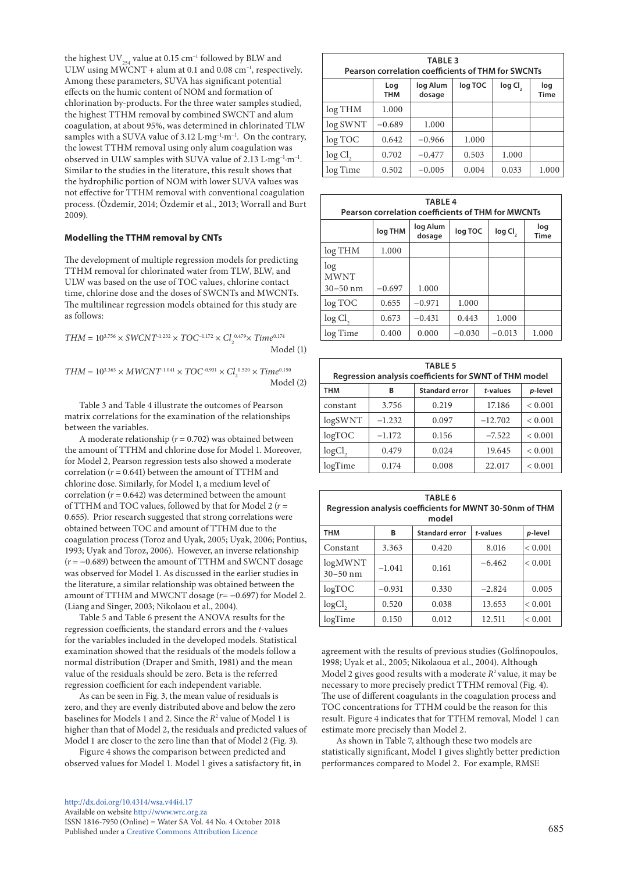the highest UV<sub>254</sub> value at 0.15 cm<sup>-1</sup> followed by BLW and ULW using MWCNT + alum at 0.1 and 0.08 cm<sup>-1</sup>, respectively. Among these parameters, SUVA has significant potential effects on the humic content of NOM and formation of chlorination by-products. For the three water samples studied, the highest TTHM removal by combined SWCNT and alum coagulation, at about 95%, was determined in chlorinated TLW samples with a SUVA value of 3.12 L·mg<sup>-1</sup>·m<sup>-1</sup>. On the contrary, the lowest TTHM removal using only alum coagulation was observed in ULW samples with SUVA value of 2.13 L·mg−1·m−1. Similar to the studies in the literature, this result shows that the hydrophilic portion of NOM with lower SUVA values was not effective for TTHM removal with conventional coagulation process. (Özdemir, 2014; Özdemir et al., 2013; Worrall and Burt 2009).

## **Modelling the TTHM removal by CNTs**

The development of multiple regression models for predicting TTHM removal for chlorinated water from TLW, BLW, and ULW was based on the use of TOC values, chlorine contact time, chlorine dose and the doses of SWCNTs and MWCNTs. The multilinear regression models obtained for this study are as follows:

$$
THM = 10^{3.756} \times SWCNT^{-1.232} \times TOC^{-1.172} \times Cl_2^{0.479} \times Time^{0.174}
$$
   
Model (1)

$$
THM = 10^{3.363} \times MWCNT^{1.041} \times TOC^{-0.931} \times Cl_2^{0.520} \times Time^{0.150}
$$
   
Model (2)

Table 3 and Table 4 illustrate the outcomes of Pearson matrix correlations for the examination of the relationships between the variables.

A moderate relationship (*r* = 0.702) was obtained between the amount of TTHM and chlorine dose for Model 1. Moreover, for Model 2, Pearson regression tests also showed a moderate correlation  $(r = 0.641)$  between the amount of TTHM and chlorine dose. Similarly, for Model 1, a medium level of correlation  $(r = 0.642)$  was determined between the amount of TTHM and TOC values, followed by that for Model 2 (*r* = 0.655). Prior research suggested that strong correlations were obtained between TOC and amount of TTHM due to the coagulation process (Toroz and Uyak, 2005; Uyak, 2006; Pontius, 1993; Uyak and Toroz, 2006). However, an inverse relationship (*r* = −0.689) between the amount of TTHM and SWCNT dosage was observed for Model 1. As discussed in the earlier studies in the literature, a similar relationship was obtained between the amount of TTHM and MWCNT dosage (*r*= −0.697) for Model 2. (Liang and Singer, 2003; Nikolaou et al., 2004).

Table 5 and Table 6 present the ANOVA results for the regression coefficients, the standard errors and the *t*-values for the variables included in the developed models. Statistical examination showed that the residuals of the models follow a normal distribution (Draper and Smith, 1981) and the mean value of the residuals should be zero. Beta is the referred regression coefficient for each independent variable.

As can be seen in Fig. 3, the mean value of residuals is zero, and they are evenly distributed above and below the zero baselines for Models 1 and 2. Since the *R*<sup>2</sup> value of Model 1 is higher than that of Model 2, the residuals and predicted values of Model 1 are closer to the zero line than that of Model 2 (Fig. 3).

Figure 4 shows the comparison between predicted and observed values for Model 1. Model 1 gives a satisfactory fit, in

| <b>TABLE 3</b><br><b>Pearson correlation coefficients of THM for SWCNTs</b>              |          |          |       |       |       |  |  |
|------------------------------------------------------------------------------------------|----------|----------|-------|-------|-------|--|--|
| log TOC<br>log Cl <sub>2</sub><br>log Alum<br>Log<br>log<br><b>THM</b><br>dosage<br>Time |          |          |       |       |       |  |  |
| log THM                                                                                  | 1.000    |          |       |       |       |  |  |
| log SWNT                                                                                 | $-0.689$ | 1.000    |       |       |       |  |  |
| log TOC                                                                                  | 0.642    | $-0.966$ | 1.000 |       |       |  |  |
| $log Cl$ ,                                                                               | 0.702    | $-0.477$ | 0.503 | 1.000 |       |  |  |
| log Time                                                                                 | 0.502    | $-0.005$ | 0.004 | 0.033 | 1.000 |  |  |

| <b>TABLE4</b><br><b>Pearson correlation coefficients of THM for MWCNTs</b> |                                                                                       |          |          |          |       |  |  |
|----------------------------------------------------------------------------|---------------------------------------------------------------------------------------|----------|----------|----------|-------|--|--|
|                                                                            | log Alum<br>loq<br>log THM<br>log TOC<br>log Cl <sub>2</sub><br>dosage<br><b>Time</b> |          |          |          |       |  |  |
| log THM                                                                    | 1.000                                                                                 |          |          |          |       |  |  |
| log<br><b>MWNT</b>                                                         |                                                                                       |          |          |          |       |  |  |
| $30 - 50$ nm                                                               | $-0.697$                                                                              | 1.000    |          |          |       |  |  |
| log TOC                                                                    | 0.655                                                                                 | $-0.971$ | 1.000    |          |       |  |  |
| $log \,$ Cl <sub>2</sub>                                                   | 0.673                                                                                 | $-0.431$ | 0.443    | 1.000    |       |  |  |
| log Time                                                                   | 0.400                                                                                 | 0.000    | $-0.030$ | $-0.013$ | 1.000 |  |  |

| <b>TABLE 5</b><br>Regression analysis coefficients for SWNT of THM model |          |       |           |             |  |  |  |
|--------------------------------------------------------------------------|----------|-------|-----------|-------------|--|--|--|
| <b>Standard error</b><br>$t$ -values<br>THM<br>p-level<br>в              |          |       |           |             |  |  |  |
| constant                                                                 | 3.756    | 0.219 | 17.186    | ${}< 0.001$ |  |  |  |
| logSWNT                                                                  | $-1.232$ | 0.097 | $-12.702$ | ${}< 0.001$ |  |  |  |
| logTOC                                                                   | $-1.172$ | 0.156 | $-7.522$  | ${}< 0.001$ |  |  |  |
| log <sub>C</sub>                                                         | 0.479    | 0.024 | 19.645    | ${}< 0.001$ |  |  |  |
| logTime                                                                  | 0.174    | 0.008 | 22.017    | ${}< 0.001$ |  |  |  |

| <b>TABLE 6</b><br>Regression analysis coefficients for MWNT 30-50nm of THM<br>model |                                                   |       |          |              |  |  |  |  |  |
|-------------------------------------------------------------------------------------|---------------------------------------------------|-------|----------|--------------|--|--|--|--|--|
| <b>THM</b>                                                                          | <b>Standard error</b><br>t-values<br>p-level<br>В |       |          |              |  |  |  |  |  |
| Constant                                                                            | 3.363                                             | 0.420 | 8.016    | ${}< 0.001$  |  |  |  |  |  |
| logMWNT<br>$30 - 50$ nm                                                             | $-1.041$                                          | 0.161 | $-6.462$ | ${}_{0.001}$ |  |  |  |  |  |
| logTOC                                                                              | $-0.931$                                          | 0.330 | $-2.824$ | 0.005        |  |  |  |  |  |
| logCl <sub>2</sub>                                                                  | 0.520                                             | 0.038 | 13.653   | ${}_{0.001}$ |  |  |  |  |  |
| logTime                                                                             | 0.150                                             | 0.012 | 12.511   | ${}< 0.001$  |  |  |  |  |  |

agreement with the results of previous studies (Golfinopoulos, 1998; Uyak et al., 2005; Nikolaoua et al., 2004). Although Model 2 gives good results with a moderate  $R^2$  value, it may be necessary to more precisely predict TTHM removal (Fig. 4). The use of different coagulants in the coagulation process and TOC concentrations for TTHM could be the reason for this result. Figure 4 indicates that for TTHM removal, Model 1 can estimate more precisely than Model 2.

As shown in Table 7, although these two models are statistically significant, Model 1 gives slightly better prediction performances compared to Model 2. For example, RMSE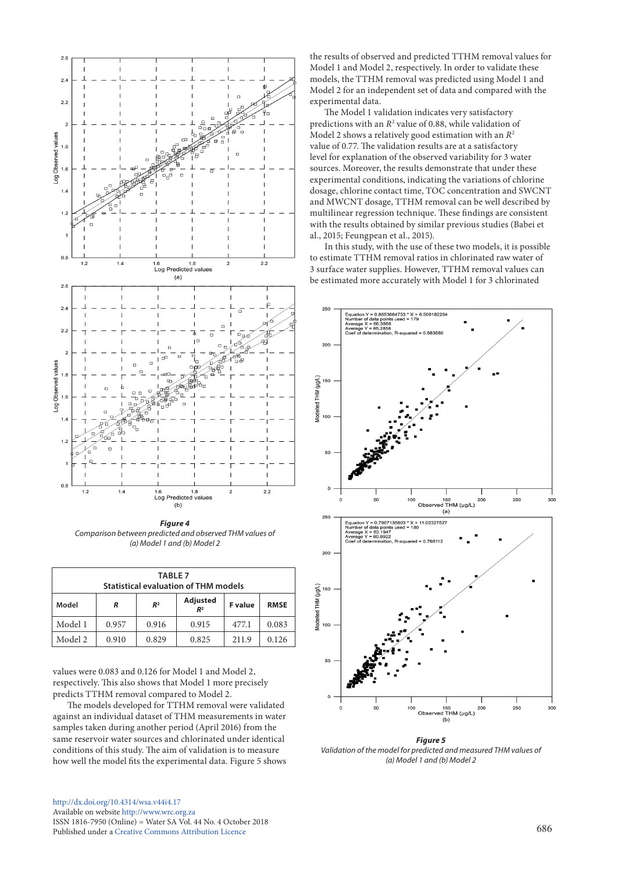

*Figure 4 Comparison between predicted and observed THM values of (a) Model 1 and (b) Model 2*

| <b>TABLE 7</b><br><b>Statistical evaluation of THM models</b>                               |       |       |       |       |       |  |
|---------------------------------------------------------------------------------------------|-------|-------|-------|-------|-------|--|
| Adjusted<br>Model<br><b>F</b> value<br>R <sup>2</sup><br><b>RMSE</b><br>R<br>R <sup>2</sup> |       |       |       |       |       |  |
| Model 1<br>0.957<br>0.916<br>0.915<br>477.1                                                 |       |       |       |       | 0.083 |  |
| Model 2                                                                                     | 0.910 | 0.829 | 0.825 | 211.9 | 0.126 |  |

values were 0.083 and 0.126 for Model 1 and Model 2, respectively. This also shows that Model 1 more precisely predicts TTHM removal compared to Model 2.

The models developed for TTHM removal were validated against an individual dataset of THM measurements in water samples taken during another period (April 2016) from the same reservoir water sources and chlorinated under identical conditions of this study. The aim of validation is to measure how well the model fits the experimental data. Figure 5 shows

[http://dx.doi.org/10.4314/wsa.v44i4.1](http://dx.doi.org/10.4314/wsa.v44i4.17)7 Available on website <http://www.wrc.org.za> ISSN 1816-7950 (Online) = Water SA Vol. 44 No. 4 October 2018 Published under a [Creative Commons Attribution Licence](https://creativecommons.org/licenses/by/4.0/) 686

the results of observed and predicted TTHM removal values for Model 1 and Model 2, respectively. In order to validate these models, the TTHM removal was predicted using Model 1 and Model 2 for an independent set of data and compared with the experimental data.

The Model 1 validation indicates very satisfactory predictions with an  $R^2$  value of 0.88, while validation of Model 2 shows a relatively good estimation with an *R*<sup>2</sup> value of 0.77. The validation results are at a satisfactory level for explanation of the observed variability for 3 water sources. Moreover, the results demonstrate that under these experimental conditions, indicating the variations of chlorine dosage, chlorine contact time, TOC concentration and SWCNT and MWCNT dosage, TTHM removal can be well described by multilinear regression technique. These findings are consistent with the results obtained by similar previous studies (Babei et al., 2015; Feungpean et al., 2015).

In this study, with the use of these two models, it is possible to estimate TTHM removal ratios in chlorinated raw water of 3 surface water supplies. However, TTHM removal values can be estimated more accurately with Model 1 for 3 chlorinated

![](_page_6_Figure_9.jpeg)

*Figure 5 Validation of the model for predicted and measured THM values of (a) Model 1 and (b) Model 2*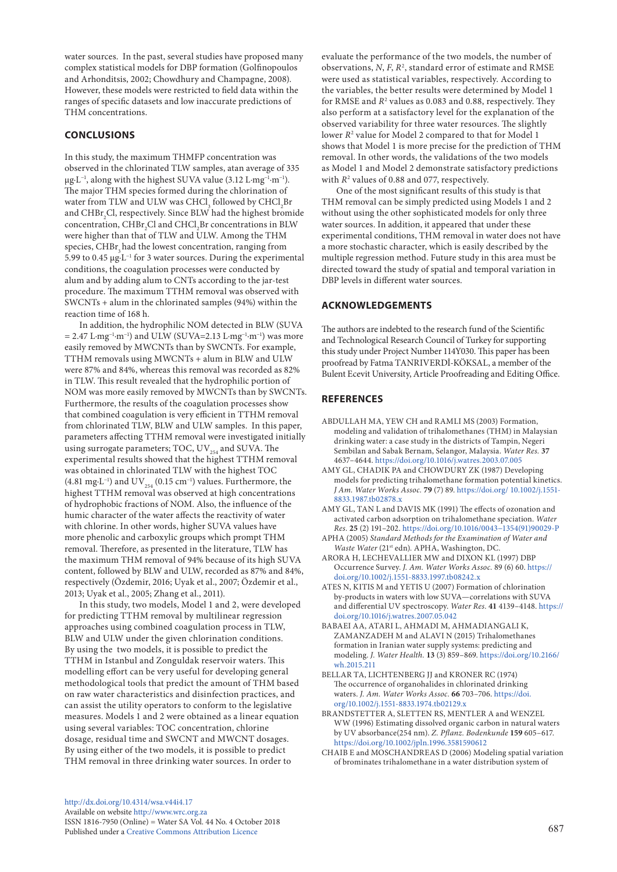water sources. In the past, several studies have proposed many complex statistical models for DBP formation (Golfinopoulos and Arhonditsis, 2002; Chowdhury and Champagne, 2008). However, these models were restricted to field data within the ranges of specific datasets and low inaccurate predictions of THM concentrations.

# **CONCLUSIONS**

In this study, the maximum THMFP concentration was observed in the chlorinated TLW samples, atan average of 335 μg·L−1, along with the highest SUVA value (3.12 L·mg−1·m−1). The major THM species formed during the chlorination of water from TLW and ULW was  $\mathrm{CHCl}_{_3}$  followed by  $\mathrm{CHCl}_{_2}\mathrm{Br}$ and  $\mathrm{CHBr}_2\mathrm{Cl}$ , respectively. Since BLW had the highest bromide concentration,  $\text{CHBr}_{\text{2}}\text{Cl}$  and  $\text{CHCl}_{\text{2}}\text{Br}$  concentrations in BLW were higher than that of TLW and ULW. Among the THM species, CHBr<sub>3</sub> had the lowest concentration, ranging from 5.99 to 0.45 μg·L−1 for 3 water sources. During the experimental conditions, the coagulation processes were conducted by alum and by adding alum to CNTs according to the jar-test procedure. The maximum TTHM removal was observed with SWCNTs + alum in the chlorinated samples (94%) within the reaction time of 168 h.

In addition, the hydrophilic NOM detected in BLW (SUVA  $= 2.47$  L·mg<sup>-1</sup>·m<sup>-1</sup>) and ULW (SUVA=2.13 L·mg<sup>-1</sup>·m<sup>-1</sup>) was more easily removed by MWCNTs than by SWCNTs. For example, TTHM removals using MWCNTs + alum in BLW and ULW were 87% and 84%, whereas this removal was recorded as 82% in TLW. This result revealed that the hydrophilic portion of NOM was more easily removed by MWCNTs than by SWCNTs. Furthermore, the results of the coagulation processes show that combined coagulation is very efficient in TTHM removal from chlorinated TLW, BLW and ULW samples. In this paper, parameters affecting TTHM removal were investigated initially using surrogate parameters; TOC,  $UV_{254}$  and SUVA. The experimental results showed that the highest TTHM removal was obtained in chlorinated TLW with the highest TOC (4.81 mg⋅L<sup>-1</sup>) and UV<sub>254</sub> (0.15 cm<sup>-1</sup>) values. Furthermore, the highest TTHM removal was observed at high concentrations of hydrophobic fractions of NOM. Also, the influence of the humic character of the water affects the reactivity of water with chlorine. In other words, higher SUVA values have more phenolic and carboxylic groups which prompt THM removal. Therefore, as presented in the literature, TLW has the maximum THM removal of 94% because of its high SUVA content, followed by BLW and ULW, recorded as 87% and 84%, respectively (Özdemir, 2016; Uyak et al., 2007; Özdemir et al., 2013; Uyak et al., 2005; Zhang et al., 2011).

In this study, two models, Model 1 and 2, were developed for predicting TTHM removal by multilinear regression approaches using combined coagulation process in TLW, BLW and ULW under the given chlorination conditions. By using the two models, it is possible to predict the TTHM in Istanbul and Zonguldak reservoir waters. This modelling effort can be very useful for developing general methodological tools that predict the amount of THM based on raw water characteristics and disinfection practices, and can assist the utility operators to conform to the legislative measures. Models 1 and 2 were obtained as a linear equation using several variables: TOC concentration, chlorine dosage, residual time and SWCNT and MWCNT dosages. By using either of the two models, it is possible to predict THM removal in three drinking water sources. In order to

evaluate the performance of the two models, the number of observations, *N*, *F*, *R*<sup>2</sup> , standard error of estimate and RMSE were used as statistical variables, respectively. According to the variables, the better results were determined by Model 1 for RMSE and  $R^2$  values as 0.083 and 0.88, respectively. They also perform at a satisfactory level for the explanation of the observed variability for three water resources. The slightly lower *R*<sup>2</sup> value for Model 2 compared to that for Model 1 shows that Model 1 is more precise for the prediction of THM removal. In other words, the validations of the two models as Model 1 and Model 2 demonstrate satisfactory predictions with  $R^2$  values of 0.88 and 077, respectively.

One of the most significant results of this study is that THM removal can be simply predicted using Models 1 and 2 without using the other sophisticated models for only three water sources. In addition, it appeared that under these experimental conditions, THM removal in water does not have a more stochastic character, which is easily described by the multiple regression method. Future study in this area must be directed toward the study of spatial and temporal variation in DBP levels in different water sources.

# **ACKNOWLEDGEMENTS**

The authors are indebted to the research fund of the Scientific and Technological Research Council of Turkey for supporting this study under Project Number 114Y030. This paper has been proofread by Fatma TANRIVERDİ-KÖKSAL, a member of the Bulent Ecevit University, Article Proofreading and Editing Office.

# **REFERENCES**

- ABDULLAH MA, YEW CH and RAMLI MS (2003) Formation, modeling and validation of trihalomethanes (THM) in Malaysian drinking water: a case study in the districts of Tampin, Negeri Sembilan and Sabak Bernam, Selangor, Malaysia. *Water Res.* **37** 4637–4644.<https://doi.org/10.1016/j.watres.2003.07.005>
- AMY GL, CHADIK PA and CHOWDURY ZK (1987) Developing models for predicting trihalomethane formation potential kinetics. *J Am. Water Works Assoc.* **79** (7) 89. [https://doi.org/ 10.1002/j.1551-](https://doi.org/%2010.1002/j.1551-8833.1987.tb02878.x) [8833.1987.tb02878.x](https://doi.org/%2010.1002/j.1551-8833.1987.tb02878.x)
- AMY GL, TAN L and DAVIS MK (1991) The effects of ozonation and activated carbon adsorption on trihalomethane speciation. *Water Res.* **25** (2) 191–202. [https://doi.org/10.1016/0043−1354\(91\)90029-P](https://doi.org/10.1016/0043-1354(91)90029-P)
- APHA (2005) *Standard Methods for the Examination of Water and Waste Water* (21st edn)*.* APHA, Washington, DC.
- ARORA H, LECHEVALLIER MW and DIXON KL (1997) DBP Occurrence Survey. *J. Am. Water Works Assoc.* 89 (6) 60. [https://](https://doi.org/10.1002/j.1551-8833.1997.tb08242.x) [doi.org/10.1002/j.1551-8833.1997.tb08242.x](https://doi.org/10.1002/j.1551-8833.1997.tb08242.x)
- ATES N, KITIS M and YETIS U (2007) Formation of chlorination by-products in waters with low SUVA—correlations with SUVA and differential UV spectroscopy. *Water Res.* **41** 4139–4148. [https://](https://doi.org/10.1016/j.watres.2007.05.042%20) [doi.org/10.1016/j.watres.2007.05.042](https://doi.org/10.1016/j.watres.2007.05.042%20)
- BABAEI AA, ATARI L, AHMADI M, AHMADIANGALI K, ZAMANZADEH M and ALAVI N (2015) Trihalomethanes formation in Iranian water supply systems: predicting and modeling. *J. Water Health.* **13** (3) 859–869. [https://doi.org/10.2166/](https://doi.org/10.2166/wh.2015.211) [wh.2015.211](https://doi.org/10.2166/wh.2015.211)
- BELLAR TA, LICHTENBERG JJ and KRONER RC (1974) The occurrence of organohalides in chlorinated drinking waters. *J. Am. Water Works Assoc.* **66** 703–706. [https://doi.](https://doi.org/10.1002/j.1551-8833.1974.tb02129.x) [org/10.1002/j.1551-8833.1974.tb02129.x](https://doi.org/10.1002/j.1551-8833.1974.tb02129.x)
- BRANDSTETTER A, SLETTEN RS, MENTLER A and WENZEL WW (1996) Estimating dissolved organic carbon in natural waters by UV absorbance(254 nm). *Z. Pflanz. Bodenkunde* **159** 605–617. <https://doi.org/10.1002/jpln.1996.3581590612>
- CHAIB E and MOSCHANDREAS D (2006) Modeling spatial variation of brominates trihalomethane in a water distribution system of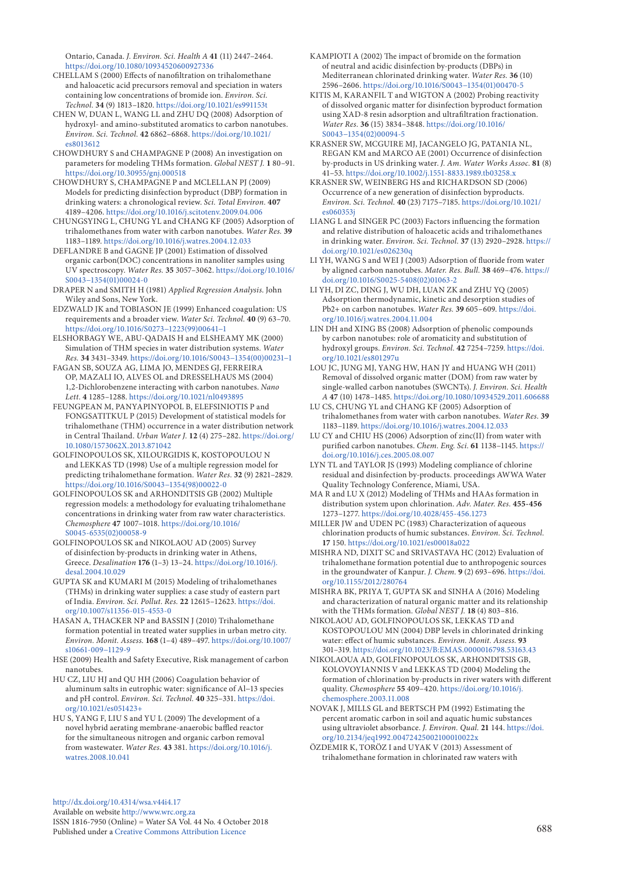Ontario, Canada. *J. Environ. Sci. Health A* **41** (11) 2447–2464. <https://doi.org/10.1080/10934520600927336>

- CHELLAM S (2000) Effects of nanofiltration on trihalomethane and haloacetic acid precursors removal and speciation in waters containing low concentrations of bromide ion. *Environ. Sci. Technol.* **34** (9) 1813–1820. <https://doi.org/10.1021/es991153t>
- CHEN W, DUAN L, WANG LL and ZHU DQ (2008) Adsorption of hydroxyl- and amino-substituted aromatics to carbon nanotubes. *Environ. Sci. Technol.* **42** 6862–6868. [https://doi.org/10.1021/](https://doi.org/10.1021/es8013612) [es8013612](https://doi.org/10.1021/es8013612)
- CHOWDHURY S and CHAMPAGNE P (2008) An investigation on parameters for modeling THMs formation. *Global NEST J.* **1** 80–91. <https://doi.org/10.30955/gnj.000518>
- CHOWDHURY S, CHAMPAGNE P and MCLELLAN PJ (2009) Models for predicting disinfection byproduct (DBP) formation in drinking waters: a chronological review. *Sci. Total Environ.* **407** 4189–4206. <https://doi.org/10.1016/j.scitotenv.2009.04.006>
- CHUNGSYING L, CHUNG YL and CHANG KF (2005) Adsorption of trihalomethanes from water with carbon nanotubes. *Water Res.* **39** 1183–1189.<https://doi.org/10.1016/j.watres.2004.12.033>
- DEFLANDRE B and GAGNE JP (2001) Estimation of dissolved organic carbon(DOC) concentrations in nanoliter samples using UV spectroscopy. *Water Res.* **35** 3057–3062. [https://doi.org/10.1016/](https://doi.org/10.1016/S0043-1354(01)00024-0) [S0043−1354\(01\)00024-0](https://doi.org/10.1016/S0043-1354(01)00024-0)
- DRAPER N and SMITH H (1981) *Applied Regression Analysis*. John Wiley and Sons, New York.
- EDZWALD JK and TOBIASON JE (1999) Enhanced coagulation: US requirements and a broader view. *Water Sci. Technol.* **40** (9) 63–70. [https://doi.org/10.1016/S0273−1223\(99\)00641−1](https://doi.org/10.1016/S0273-1223(99)00641-1)
- ELSHORBAGY WE, ABU-QADAIS H and ELSHEAMY MK (2000) Simulation of THM species in water distribution systems. *Water Res.* **34** 3431–3349. [https://doi.org/10.1016/S0043−1354\(00\)00231−1](https://doi.org/10.1016/S0043-1354(00)00231-1)
- FAGAN SB, SOUZA AG, LIMA JO, MENDES GJ, FERREIRA OP, MAZALI IO, ALVES OL and DRESSELHAUS MS (2004) 1,2-Dichlorobenzene interacting with carbon nanotubes. *Nano Lett.* **4** 1285–1288. <https://doi.org/10.1021/nl0493895>
- FEUNGPEAN M, PANYAPINYOPOL B, ELEFSINIOTIS P and FONGSATITKUL P (2015) Development of statistical models for trihalomethane (THM) occurrence in a water distribution network in Central Thailand. *Urban Water J.* **12** (4) 275–282. [https://doi.org/](https://doi.org/10.1080/1573062X.2013.871042) [10.1080/1573062X.2013.871042](https://doi.org/10.1080/1573062X.2013.871042)
- GOLFINOPOULOS SK, XILOURGIDIS K, KOSTOPOULOU N and LEKKAS TD (1998) Use of a multiple regression model for predicting trihalomethane formation. *Water Res.* **32** (9) 2821–2829. [https://doi.org/10.1016/S0043−1354\(98\)00022-0](https://doi.org/10.1016/S0043-1354(98)00022-0%20)
- GOLFINOPOULOS SK and ARHONDITSIS GB (2002) Multiple regression models: a methodology for evaluating trihalomethane concentrations in drinking water from raw water characteristics. *Chemosphere* **47** 1007–1018. [https://doi.org/10.1016/](https://doi.org/10.1016/S0045-6535(02)00058-9) [S0045-6535\(02\)00058-9](https://doi.org/10.1016/S0045-6535(02)00058-9)
- GOLFINOPOULOS SK and NIKOLAOU AD (2005) Survey of disinfection by-products in drinking water in Athens, Greece. *Desalination* **176** (1–3) 13–24. [https://doi.org/10.1016/j.](https://doi.org/10.1016/j.desal.2004.10.029) [desal.2004.10.029](https://doi.org/10.1016/j.desal.2004.10.029)
- GUPTA SK and KUMARI M (2015) Modeling of trihalomethanes (THMs) in drinking water supplies: a case study of eastern part of India. *Environ. Sci. Pollut. Res.* **22** 12615–12623. [https://doi.](https://doi.org/10.1007/s11356-015-4553-0) [org/10.1007/s11356-015-4553-0](https://doi.org/10.1007/s11356-015-4553-0)
- HASAN A, THACKER NP and BASSIN J (2010) Trihalomethane formation potential in treated water supplies in urban metro city. *Environ. Monit. Assess.* **168** (1–4) 489–497. [https://doi.org/10.1007/](https://doi.org/10.1007/s10661-009-1129-9) [s10661-009−1129-9](https://doi.org/10.1007/s10661-009-1129-9)
- HSE (2009) Health and Safety Executive, Risk management of carbon nanotubes.
- HU CZ, LIU HJ and QU HH (2006) Coagulation behavior of aluminum salts in eutrophic water: significance of Al−13 species and pH control. *Environ. Sci. Technol.* **40** 325–331. [https://doi.](https://doi.org/10.1021/es051423+) [org/10.1021/es051423+](https://doi.org/10.1021/es051423+)
- HU S, YANG F, LIU S and YU L (2009) The development of a novel hybrid aerating membrane-anaerobic baffled reactor for the simultaneous nitrogen and organic carbon removal from wastewater. *Water Res.* **43** 381. [https://doi.org/10.1016/j.](https://doi.org/10.1016/j.watres.2008.10.041) [watres.2008.10.041](https://doi.org/10.1016/j.watres.2008.10.041)
- KAMPIOTI A (2002) The impact of bromide on the formation of neutral and acidic disinfection by-products (DBPs) in Mediterranean chlorinated drinking water. *Water Res.* **36** (10) 2596–2606. [https://doi.org/10.1016/S0043−1354\(01\)00470-5](https://doi.org/10.1016/S0043-1354(01)00470-5)
- KITIS M, KARANFIL T and WIGTON A (2002) Probing reactivity of dissolved organic matter for disinfection byproduct formation using XAD-8 resin adsorption and ultrafiltration fractionation. *Water Res.* **36** (15) 3834–3848. [https://doi.org/10.1016/](https://doi.org/10.1016/S0043-1354(02)00094-5) [S0043−1354\(02\)00094-5](https://doi.org/10.1016/S0043-1354(02)00094-5)
- KRASNER SW, MCGUIRE MJ, JACANGELO JG, PATANIA NL, REGAN KM and MARCO AE (2001) Occurrence of disinfection by-products in US drinking water. *J. Am. Water Works Assoc.* **81** (8) 41–53. <https://doi.org/10.1002/j.1551-8833.1989.tb03258.x>
- KRASNER SW, WEINBERG HS and RICHARDSON SD (2006) Occurrence of a new generation of disinfection byproducts. *Environ. Sci. Technol.* **40** (23) 7175–7185. [https://doi.org/10.1021/](https://doi.org/10.1021/es060353j) [es060353j](https://doi.org/10.1021/es060353j)
- LIANG L and SINGER PC (2003) Factors influencing the formation and relative distribution of haloacetic acids and trihalomethanes in drinking water. *Environ. Sci. Technol.* **37** (13) 2920–2928. [https://](https://doi.org/10.1021/es026230q) [doi.org/10.1021/es026230q](https://doi.org/10.1021/es026230q)
- LI YH, WANG S and WEI J (2003) Adsorption of fluoride from water by aligned carbon nanotubes. *Mater. Res. Bull.* **38** 469–476. [https://](https://doi.org/10.1016/S0025-5408(02)01063-2) [doi.org/10.1016/S0025-5408\(02\)01063-2](https://doi.org/10.1016/S0025-5408(02)01063-2)
- LI YH, DI ZC, DING J, WU DH, LUAN ZK and ZHU YQ (2005) Adsorption thermodynamic, kinetic and desorption studies of Pb2+ on carbon nanotubes. *Water Res.* **39** 605–609. [https://doi.](https://doi.org/10.1016/j.watres.2004.11.004%20) [org/10.1016/j.watres.2004.11.004](https://doi.org/10.1016/j.watres.2004.11.004%20)
- LIN DH and XING BS (2008) Adsorption of phenolic compounds by carbon nanotubes: role of aromaticity and substitution of hydroxyl groups. *Environ. Sci. Technol.* **42** 7254–7259. [https://doi.](https://doi.org/10.1021/es801297u) [org/10.1021/es801297u](https://doi.org/10.1021/es801297u)
- LOU JC, JUNG MJ, YANG HW, HAN JY and HUANG WH (2011) Removal of dissolved organic matter (DOM) from raw water by single-walled carbon nanotubes (SWCNTs). *J. Environ. Sci. Health A* **47** (10) 1478–1485.<https://doi.org/10.1080/10934529.2011.606688>
- LU CS, CHUNG YL and CHANG KF (2005) Adsorption of trihalomethanes from water with carbon nanotubes. *Water Res.* **39** 1183–1189.<https://doi.org/10.1016/j.watres.2004.12.033>
- LU CY and CHIU HS (2006) Adsorption of zinc(II) from water with purified carbon nanotubes. *Chem. Eng. Sci.* **61** 1138–1145. [https://](https://doi.org/10.1016/j.ces.2005.08.007) [doi.org/10.1016/j.ces.2005.08.007](https://doi.org/10.1016/j.ces.2005.08.007)
- LYN TL and TAYLOR JS (1993) Modeling compliance of chlorine residual and disinfection by-products. proceedings AWWA Water Quality Technology Conference, Miami, USA.
- MA R and LU X (2012) Modeling of THMs and HAAs formation in distribution system upon chlorination. *Adv. Mater. Res.* **455-456** 1273–1277.<https://doi.org/10.4028/455-456.1273>
- MILLER JW and UDEN PC (1983) Characterization of aqueous chlorination products of humic substances. *Environ. Sci. Technol.* **17** 150. <https://doi.org/10.1021/es00018a022>
- MISHRA ND, DIXIT SC and SRIVASTAVA HC (2012) Evaluation of trihalomethane formation potential due to anthropogenic sources in the groundwater of Kanpur. *J. Chem.* **9** (2) 693–696. [https://doi.](https://doi.org/10.1155/2012/280764%20) [org/10.1155/2012/280764](https://doi.org/10.1155/2012/280764%20)
- MISHRA BK, PRIYA T, GUPTA SK and SINHA A (2016) Modeling and characterization of natural organic matter and its relationship with the THMs formation. *Global NEST J.* **18** (4) 803–816.
- NIKOLAOU AD, GOLFINOPOULOS SK, LEKKAS TD and KOSTOPOULOU MN (2004) DBP levels in chlorinated drinking water: effect of humic substances. *Environ. Monit. Assess.* **93** 301–319. [https://doi.org/10.1023/B:EMAS.0000016798.53163.43](https://doi.org/10.1023/B:EMAS.0000016798.53163.43%20)
- NIKOLAOUA AD, GOLFINOPOULOS SK, ARHONDITSIS GB, KOLOVOYIANNIS V and LEKKAS TD (2004) Modeling the formation of chlorination by-products in river waters with different quality. *Chemosphere* **55** 409–420. [https://doi.org/10.1016/j.](https://doi.org/10.1016/j.chemosphere.2003.11.008) [chemosphere.2003.11.008](https://doi.org/10.1016/j.chemosphere.2003.11.008)
- NOVAK J, MILLS GL and BERTSCH PM (1992) Estimating the percent aromatic carbon in soil and aquatic humic substances using ultraviolet absorbance. *J. Environ. Qual.* **21** 144. [https://doi.](https://doi.org/10.2134/jeq1992.00472425002100010022x%20%20) [org/10.2134/jeq1992.00472425002100010022x](https://doi.org/10.2134/jeq1992.00472425002100010022x%20%20)
- ÖZDEMIR K, TORÖZ I and UYAK V (2013) Assessment of trihalomethane formation in chlorinated raw waters with

[http://dx.doi.org/10.4314/wsa.v44i4.1](http://dx.doi.org/10.4314/wsa.v44i4.17)7 Available on website <http://www.wrc.org.za> ISSN 1816-7950 (Online) = Water SA Vol. 44 No. 4 October 2018 Published under a [Creative Commons Attribution Licence](https://creativecommons.org/licenses/by/4.0/) 688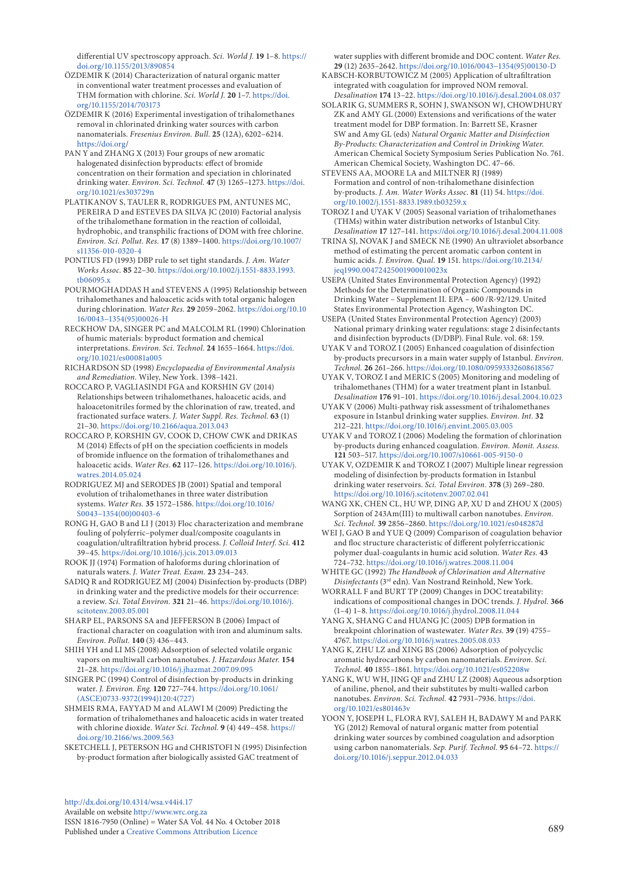differential UV spectroscopy approach. *Sci. World J.* **19** 1–8. [https://](https://doi.org/10.1155/2013/890854) [doi.org/10.1155/2013/890854](https://doi.org/10.1155/2013/890854)

- ÖZDEMIR K (2014) Characterization of natural organic matter in conventional water treatment processes and evaluation of THM formation with chlorine. *Sci. World J.* **20** 1–7. [https://doi.](https://doi.org/10.1155/2014/703173) [org/10.1155/2014/703173](https://doi.org/10.1155/2014/703173)
- ÖZDEMIR K (2016) Experimental investigation of trihalomethanes removal in chlorinated drinking water sources with carbon nanomaterials. *Fresenius Environ. Bull.* **25** (12A), 6202–6214. <https://doi.org>/
- PAN Y and ZHANG X (2013) Four groups of new aromatic halogenated disinfection byproducts: effect of bromide concentration on their formation and speciation in chlorinated drinking water. *Environ. Sci. Technol.* **47** (3) 1265–1273. [https://doi.](https://doi.org/10.1021/es303729n%20) [org/10.1021/es303729n](https://doi.org/10.1021/es303729n%20)
- PLATIKANOV S, TAULER R, RODRIGUES PM, ANTUNES MC, PEREIRA D and ESTEVES DA SILVA JC (2010) Factorial analysis of the trihalomethane formation in the reaction of colloidal, hydrophobic, and transphilic fractions of DOM with free chlorine. *Environ. Sci. Pollut. Res.* **17** (8) 1389–1400. [https://doi.org/10.1007/](https://doi.org/10.1007/s11356-010-0320-4) [s11356-010-0320-4](https://doi.org/10.1007/s11356-010-0320-4)
- PONTIUS FD (1993) DBP rule to set tight standards. *J. Am. Water Works Assoc.* **85** 22–30. [https://doi.org/10.1002/j.1551-8833.1993.](https://doi.org/10.1002/j.1551-8833.1993.tb06095.x) [tb06095.x](https://doi.org/10.1002/j.1551-8833.1993.tb06095.x)
- POURMOGHADDAS H and STEVENS A (1995) Relationship between trihalomethanes and haloacetic acids with total organic halogen during chlorination. *Water Res.* **29** 2059–2062. [https://doi.org/10.10](https://doi.org/10.1016/0043-1354(95)00026-H) [16/0043−1354\(95\)00026-H](https://doi.org/10.1016/0043-1354(95)00026-H)
- RECKHOW DA, SINGER PC and MALCOLM RL (1990) Chlorination of humic materials: byproduct formation and chemical interpretations. *Environ. Sci. Technol.* **24** 1655–1664. [https://doi.](https://doi.org/10.1021/es00081a005%20) [org/10.1021/es00081a005](https://doi.org/10.1021/es00081a005%20)
- RICHARDSON SD (1998) *Encyclopaedia of Environmental Analysis and Remediation.* Wiley, New York. 1398–1421.
- ROCCARO P, VAGLIASINDI FGA and KORSHIN GV (2014) Relationships between trihalomethanes, haloacetic acids, and haloacetonitriles formed by the chlorination of raw, treated, and fractionated surface waters. *J. Water Suppl. Res. Technol.* **63** (1) 21–30.<https://doi.org/10.2166/aqua.2013.043>
- ROCCARO P, KORSHIN GV, COOK D, CHOW CWK and DRIKAS M (2014) Effects of pH on the speciation coefficients in models of bromide influence on the formation of trihalomethanes and haloacetic acids. *Water Res.* **62** 117–126. [https://doi.org/10.1016/j.](https://doi.org/10.1016/j.watres.2014.05.024) watres. 2014.05.024
- RODRIGUEZ MJ and SERODES JB (2001) Spatial and temporal evolution of trihalomethanes in three water distribution systems. *Water Res.* **35** 1572–1586. [https://doi.org/10.1016/](https://doi.org/10.1016/S0043-1354(00)00403-6) [S0043−1354\(00\)00403-6](https://doi.org/10.1016/S0043-1354(00)00403-6)
- RONG H, GAO B and LI J (2013) Floc characterization and membrane fouling of polyferric–polymer dual/composite coagulants in coagulation/ultrafiltration hybrid process. *J. Colloid Interf. Sci.* **412** 39–45.<https://doi.org/10.1016/j.jcis.2013.09.013>
- ROOK JJ (1974) Formation of haloforms during chlorination of naturals waters. *J. Water Treat. Exam.* **23** 234–243.
- SADIQ R and RODRIGUEZ MJ (2004) Disinfection by-products (DBP) in drinking water and the predictive models for their occurrence: a review. *Sci. Total Environ.* **321** 21–46. [https://doi.org/10.1016/j.](https://doi.org/10.1016/j.scitotenv.2003.05.001) [scitotenv.2003.05.001](https://doi.org/10.1016/j.scitotenv.2003.05.001)
- SHARP EL, PARSONS SA and JEFFERSON B (2006) Impact of fractional character on coagulation with iron and aluminum salts. *Environ. Pollut.* **140** (3) 436–443.
- SHIH YH and LI MS (2008) Adsorption of selected volatile organic vapors on multiwall carbon nanotubes. *J. Hazardous Mater.* **154** 21–28.<https://doi.org/10.1016/j.jhazmat.2007.09.095>
- SINGER PC (1994) Control of disinfection by-products in drinking water. *J. Environ. Eng.* **120** 727–744. [https://doi.org/10.1061/](https://doi.org/10.1061/(ASCE)0733-9372(1994)120:4(727)) [\(ASCE\)0733-9372\(1994\)120:4\(727\)](https://doi.org/10.1061/(ASCE)0733-9372(1994)120:4(727))
- SHMEIS RMA, FAYYAD M and ALAWI M (2009) Predicting the formation of trihalomethanes and haloacetic acids in water treated with chlorine dioxide. *Water Sci. Technol.* **9** (4) 449–458. [https://](https://doi.org/10.2166/ws.2009.563) [doi.org/10.2166/ws.2009.563](https://doi.org/10.2166/ws.2009.563)
- SKETCHELL J, PETERSON HG and CHRISTOFI N (1995) Disinfection by-product formation after biologically assisted GAC treatment of

[http://dx.doi.org/10.4314/wsa.v44i4.](http://dx.doi.org/10.4314/wsa.v44i4.17)17 Available on website<http://www.wrc.org.za> ISSN 1816-7950 (Online) = Water SA Vol. 44 No. 4 October 2018 Published under a [Creative Commons Attribution Licence](https://creativecommons.org/licenses/by/4.0/) 689

water supplies with different bromide and DOC content. *Water Res.* **29** (12) 2635–2642. [https://doi.org/10.1016/0043−1354\(95\)00130-D](https://doi.org/10.1016/0043-1354(95)00130-D)

- KABSCH-KORBUTOWICZ M (2005) Application of ultrafiltration integrated with coagulation for improved NOM removal. *Desalination* **174** 13–22. <https://doi.org/10.1016/j.desal.2004.08.037>
- SOLARIK G, SUMMERS R, SOHN J, SWANSON WJ, CHOWDHURY ZK and AMY GL (2000) Extensions and verifications of the water treatment model for DBP formation. In: Barrett SE, Krasner SW and Amy GL (eds) *Natural Organic Matter and Disinfection By-Products: Characterization and Control in Drinking Water*. American Chemical Society Symposium Series Publication No. 761. American Chemical Society, Washington DC. 47–66.
- STEVENS AA, MOORE LA and MILTNER RJ (1989) Formation and control of non-trihalomethane disinfection by-products. *J. Am. Water Works Assoc.* **81** (11) 54. [https://doi.](https://doi.org/10.1002/j.1551-8833.1989.tb03259.x) [org/10.1002/j.1551-8833.1989.tb03259.x](https://doi.org/10.1002/j.1551-8833.1989.tb03259.x)
- TOROZ I and UYAK V (2005) Seasonal variation of trihalomethanes (THMs) within water distribution networks of Istanbul City. *Desalination* **17** 127–141.<https://doi.org/10.1016/j.desal.2004.11.008>
- TRINA SJ, NOVAK J and SMECK NE (1990) An ultraviolet absorbance method of estimating the percent aromatic carbon content in humic acids. *J. Environ. Qual.* **19** 151. [https://doi.org/10.2134/](https://doi.org/10.2134/jeq1990.00472425001900010023x%20) [jeq1990.00472425001900010023x](https://doi.org/10.2134/jeq1990.00472425001900010023x%20)
- USEPA (United States Environmental Protection Agency) (1992) Methods for the Determination of Organic Compounds in Drinking Water – Supplement II. EPA – 600 /R-92/129. United States Environmental Protection Agency, Washington DC.
- USEPA (United States Environmental Protection Agency) (2003) National primary drinking water regulations: stage 2 disinfectants and disinfection byproducts (D/DBP). Final Rule. vol. 68: 159.
- UYAK V and TOROZ I (2005) Enhanced coagulation of disinfection by-products precursors in a main water supply of Istanbul. *Environ. Technol.* **26** 261–266.<https://doi.org/10.1080/09593332608618567>
- UYAK V, TOROZ I and MERIC S (2005) Monitoring and modeling of trihalomethanes (THM) for a water treatment plant in Istanbul. *Desalination* **176** 91–101.<https://doi.org/10.1016/j.desal.2004.10.023>
- UYAK V (2006) Multi-pathway risk assessment of trihalomethanes exposure in Istanbul drinking water supplies. *Environ. Int.* **32** 212–221. <https://doi.org/10.1016/j.envint.2005.03.005>
- UYAK V and TOROZ I (2006) Modeling the formation of chlorination by-products during enhanced coagulation. *Environ. Monit. Assess.* **121** 503–517.<https://doi.org/10.1007/s10661-005-9150-0>
- UYAK V, OZDEMIR K and TOROZ I (2007) Multiple linear regression modeling of disinfection by-products formation in Istanbul drinking water reservoirs. *Sci. Total Environ.* **378** (3) 269–280. <https://doi.org/10.1016/j.scitotenv.2007.02.041>
- WANG XK, CHEN CL, HU WP, DING AP, XU D and ZHOU X (2005) Sorption of 243Am(III) to multiwall carbon nanotubes. *Environ. Sci. Technol.* **39** 2856–2860.<https://doi.org/10.1021/es048287d>
- WEI J, GAO B and YUE Q (2009) Comparison of coagulation behavior and floc structure characteristic of different polyferriccationic polymer dual-coagulants in humic acid solution. *Water Res.* **43** 724–732. [https://doi.org/10.1016/j.watres.2008.11.004](https://doi.org/10.1016/j.watres.2008.11.004%20)
- WHITE GC (1992) *The Handbook of Chlorination and Alternative Disinfectants* (3rd edn). Van Nostrand Reinhold, New York.
- WORRALL F and BURT TP (2009) Changes in DOC treatability: indications of compositional changes in DOC trends. *J. Hydrol.* **366**  (1–4) 1–8. <https://doi.org/10.1016/j.jhydrol.2008.11.044>
- YANG X, SHANG C and HUANG JC (2005) DPB formation in breakpoint chlorination of wastewater. *Water Res.* **39** (19) 4755– 4767. <https://doi.org/10.1016/j.watres.2005.08.033>
- YANG K, ZHU LZ and XING BS (2006) Adsorption of polycyclic aromatic hydrocarbons by carbon nanomaterials. *Environ. Sci. Technol.* **40** 1855–1861.<https://doi.org/10.1021/es052208w>
- YANG K, WU WH, JING QF and ZHU LZ (2008) Aqueous adsorption of aniline, phenol, and their substitutes by multi-walled carbon nanotubes. *Environ. Sci. Technol.* **42** 7931–7936. [https://doi.](https://doi.org/10.1021/es801463v) [org/10.1021/es801463v](https://doi.org/10.1021/es801463v)
- YOON Y, JOSEPH L, FLORA RVJ, SALEH H, BADAWY M and PARK YG (2012) Removal of natural organic matter from potential drinking water sources by combined coagulation and adsorption using carbon nanomaterials. *Sep. Purif. Technol.* **95** 64–72. [https://](https://doi.org/10.1016/j.seppur.2012.04.033) [doi.org/10.1016/j.seppur.2012.04.033](https://doi.org/10.1016/j.seppur.2012.04.033)